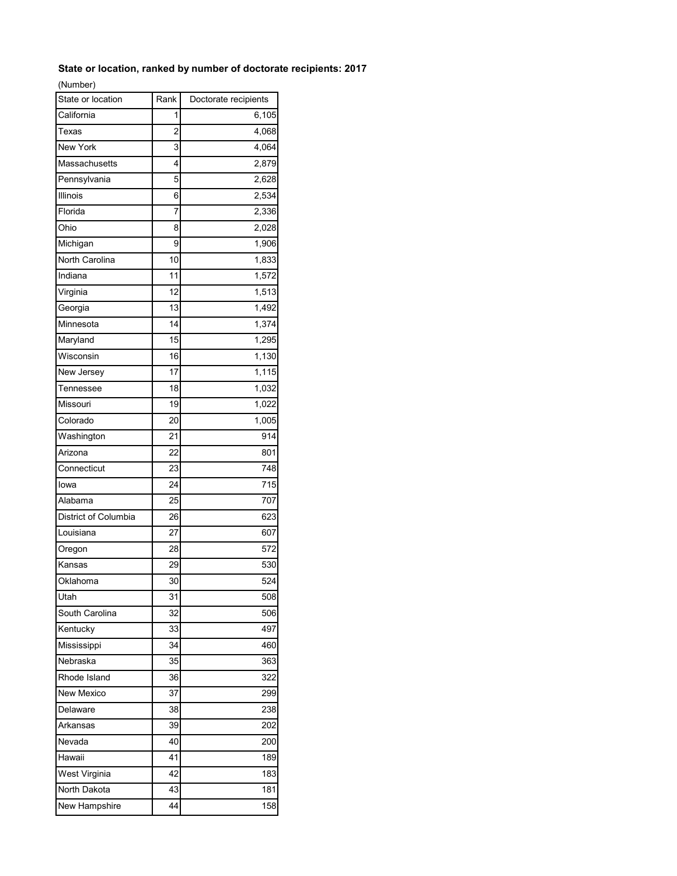## **State or location, ranked by number of doctorate recipients: 2017**

(Number)

| State or location    | Rank            | Doctorate recipients |
|----------------------|-----------------|----------------------|
| California           | 1               | 6,105                |
| Texas                | 2               | 4,068                |
| New York             | 3               | 4,064                |
| Massachusetts        | 4               | 2,879                |
| Pennsylvania         | 5               | 2,628                |
| Illinois             | 6               | 2,534                |
| Florida              | 7               | 2,336                |
| Ohio                 | 8               | 2,028                |
| Michigan             | 9               | 1,906                |
| North Carolina       | 10              | 1,833                |
| Indiana              | 11              | 1,572                |
| Virginia             | 12              | 1,513                |
| Georgia              | 13              | $\overline{1,}492$   |
| Minnesota            | 14              | 1,374                |
| Maryland             | 15              | 1,295                |
| Wisconsin            | 16              | 1,130                |
| New Jersey           | 17              | 1,115                |
| Tennessee            | 18              | 1,032                |
| Missouri             | 19              | 1,022                |
| Colorado             | 20              | $\overline{1,005}$   |
| Washington           | 21              | 914                  |
| Arizona              | $\overline{22}$ | 801                  |
| Connecticut          | 23              | 748                  |
| lowa                 | 24              | 715                  |
| Alabama              | 25              | 707                  |
| District of Columbia | 26              | 623                  |
| Louisiana            | 27              | 607                  |
| Oregon               | 28              | 572                  |
| Kansas               | 29              | 530                  |
| Oklahoma             | 30              | $\overline{5}24$     |
| Utah                 | 31              | 508                  |
| South Carolina       | 32              | 506                  |
| Kentucky             | 33              | 497                  |
| Mississippi          | 34              | 460                  |
| Nebraska             | 35              | 363                  |
| Rhode Island         | 36              | 322                  |
| New Mexico           | 37              | 299                  |
| Delaware             | 38              | 238                  |
| Arkansas             | 39              | 202                  |
| Nevada               | 40              | 200                  |
| Hawaii               | 41              | 189                  |
| West Virginia        | 42              | 183                  |
| North Dakota         | 43              | 181                  |
| New Hampshire        | 44              | 158                  |